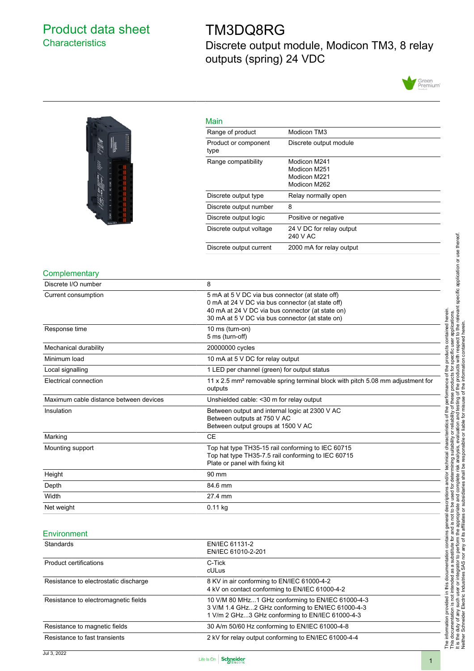## <span id="page-0-0"></span>Product data sheet **Characteristics**

## TM3DQ8RG

Discrete output module, Modicon TM3, 8 relay outputs (spring) 24 VDC





| Range of product             | Modicon TM3                                                  |
|------------------------------|--------------------------------------------------------------|
| Product or component<br>type | Discrete output module                                       |
| Range compatibility          | Modicon M241<br>Modicon M251<br>Modicon M221<br>Modicon M262 |
| Discrete output type         | Relay normally open                                          |
| Discrete output number       | 8                                                            |
| Discrete output logic        | Positive or negative                                         |
| Discrete output voltage      | 24 V DC for relay output<br>240 V AC                         |
| Discrete output current      | 2000 mA for relay output                                     |

#### **Complementary**

| Discrete I/O number                    | 8                                                                                                                                                                                                          |
|----------------------------------------|------------------------------------------------------------------------------------------------------------------------------------------------------------------------------------------------------------|
| Current consumption                    | 5 mA at 5 V DC via bus connector (at state off)<br>0 mA at 24 V DC via bus connector (at state off)<br>40 mA at 24 V DC via bus connector (at state on)<br>30 mA at 5 V DC via bus connector (at state on) |
| Response time                          | 10 ms (turn-on)<br>5 ms (turn-off)                                                                                                                                                                         |
| Mechanical durability                  | 20000000 cycles                                                                                                                                                                                            |
| Minimum load                           | 10 mA at 5 V DC for relay output                                                                                                                                                                           |
| Local signalling                       | 1 LED per channel (green) for output status                                                                                                                                                                |
| Electrical connection                  | 11 x 2.5 mm <sup>2</sup> removable spring terminal block with pitch 5.08 mm adjustment for<br>outputs                                                                                                      |
| Maximum cable distance between devices | Unshielded cable: < 30 m for relay output                                                                                                                                                                  |
| Insulation                             | Between output and internal logic at 2300 V AC<br>Between outputs at 750 V AC<br>Between output groups at 1500 V AC                                                                                        |
| Marking                                | <b>CE</b>                                                                                                                                                                                                  |
| Mounting support                       | Top hat type TH35-15 rail conforming to IEC 60715<br>Top hat type TH35-7.5 rail conforming to IEC 60715<br>Plate or panel with fixing kit                                                                  |
| Height                                 | 90 mm                                                                                                                                                                                                      |
| Depth                                  | 84.6 mm                                                                                                                                                                                                    |
| Width                                  | 27.4 mm                                                                                                                                                                                                    |
| Net weight                             | $0.11$ kg                                                                                                                                                                                                  |

#### **Environment**

| <b>Standards</b>                      | EN/IEC 61131-2<br>EN/IEC 61010-2-201                                                                                                                      |
|---------------------------------------|-----------------------------------------------------------------------------------------------------------------------------------------------------------|
| Product certifications                | C-Tick<br>cULus                                                                                                                                           |
| Resistance to electrostatic discharge | 8 KV in air conforming to EN/IEC 61000-4-2<br>4 kV on contact conforming to EN/IEC 61000-4-2                                                              |
| Resistance to electromagnetic fields  | 10 V/M 80 MHz1 GHz conforming to EN/IEC 61000-4-3<br>3 V/M 1.4 GHz2 GHz conforming to EN/IEC 61000-4-3<br>1 V/m 2 GHz3 GHz conforming to EN/IEC 61000-4-3 |
| Resistance to magnetic fields         | 30 A/m 50/60 Hz conforming to EN/IEC 61000-4-8                                                                                                            |
| Resistance to fast transients         | 2 kV for relay output conforming to EN/IEC 61000-4-4                                                                                                      |

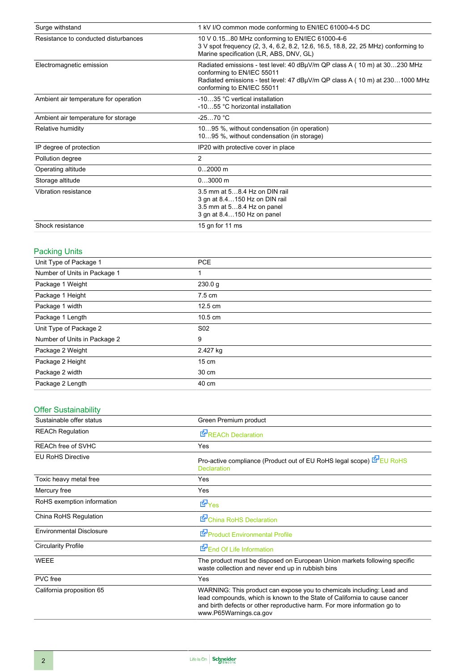| Surge withstand                       | 1 kV I/O common mode conforming to EN/IEC 61000-4-5 DC                                                                                                                                                               |  |
|---------------------------------------|----------------------------------------------------------------------------------------------------------------------------------------------------------------------------------------------------------------------|--|
| Resistance to conducted disturbances  | 10 V 0.1580 MHz conforming to EN/IEC 61000-4-6<br>3 V spot frequency (2, 3, 4, 6.2, 8.2, 12.6, 16.5, 18.8, 22, 25 MHz) conforming to<br>Marine specification (LR, ABS, DNV, GL)                                      |  |
| Electromagnetic emission              | Radiated emissions - test level: 40 dBµV/m QP class A (10 m) at 30230 MHz<br>conforming to EN/IEC 55011<br>Radiated emissions - test level: 47 dBµV/m QP class A (10 m) at 2301000 MHz<br>conforming to EN/IEC 55011 |  |
| Ambient air temperature for operation | -1035 °C vertical installation<br>-1055 °C horizontal installation                                                                                                                                                   |  |
| Ambient air temperature for storage   | $-2570 °C$                                                                                                                                                                                                           |  |
| Relative humidity                     | 1095 %, without condensation (in operation)<br>1095 %, without condensation (in storage)                                                                                                                             |  |
| IP degree of protection               | IP20 with protective cover in place                                                                                                                                                                                  |  |
| Pollution degree                      | $\overline{2}$                                                                                                                                                                                                       |  |
| Operating altitude                    | $02000$ m                                                                                                                                                                                                            |  |
| Storage altitude                      | $03000$ m                                                                                                                                                                                                            |  |
| Vibration resistance                  | 3.5 mm at 58.4 Hz on DIN rail<br>3 gn at 8.4150 Hz on DIN rail<br>3.5 mm at 58.4 Hz on panel<br>3 gn at 8.4150 Hz on panel                                                                                           |  |
| Shock resistance                      | 15 gn for 11 ms                                                                                                                                                                                                      |  |

## Packing Units

| Unit Type of Package 1       | <b>PCE</b>        |  |
|------------------------------|-------------------|--|
| Number of Units in Package 1 | 1                 |  |
| Package 1 Weight             | 230.0 g           |  |
| Package 1 Height             | $7.5 \text{ cm}$  |  |
| Package 1 width              | $12.5 \text{ cm}$ |  |
| Package 1 Length             | $10.5 \text{ cm}$ |  |
| Unit Type of Package 2       | S <sub>02</sub>   |  |
| Number of Units in Package 2 | 9                 |  |
| Package 2 Weight             | 2.427 kg          |  |
| Package 2 Height             | $15 \text{ cm}$   |  |
| Package 2 width              | 30 cm             |  |
| Package 2 Length             | 40 cm             |  |
|                              |                   |  |

## Offer Sustainability

| Sustainable offer status        | Green Premium product                                                                                                                                                                                                                                    |  |
|---------------------------------|----------------------------------------------------------------------------------------------------------------------------------------------------------------------------------------------------------------------------------------------------------|--|
| <b>REACh Regulation</b>         | <b>E</b> <sup><i>REACh Declaration</i></sup>                                                                                                                                                                                                             |  |
| <b>REACh free of SVHC</b>       | Yes                                                                                                                                                                                                                                                      |  |
| <b>EU RoHS Directive</b>        | Pro-active compliance (Product out of EU RoHS legal scope) EPEU RoHS<br>Declaration                                                                                                                                                                      |  |
| Toxic heavy metal free          | Yes                                                                                                                                                                                                                                                      |  |
| Mercury free                    | Yes                                                                                                                                                                                                                                                      |  |
| RoHS exemption information      | d Yes                                                                                                                                                                                                                                                    |  |
| China RoHS Regulation           | China RoHS Declaration                                                                                                                                                                                                                                   |  |
| <b>Environmental Disclosure</b> | Product Environmental Profile                                                                                                                                                                                                                            |  |
| <b>Circularity Profile</b>      | End Of Life Information                                                                                                                                                                                                                                  |  |
| <b>WEEE</b>                     | The product must be disposed on European Union markets following specific<br>waste collection and never end up in rubbish bins                                                                                                                           |  |
| <b>PVC</b> free                 | Yes                                                                                                                                                                                                                                                      |  |
| California proposition 65       | WARNING: This product can expose you to chemicals including: Lead and<br>lead compounds, which is known to the State of California to cause cancer<br>and birth defects or other reproductive harm. For more information go to<br>www.P65Warnings.ca.gov |  |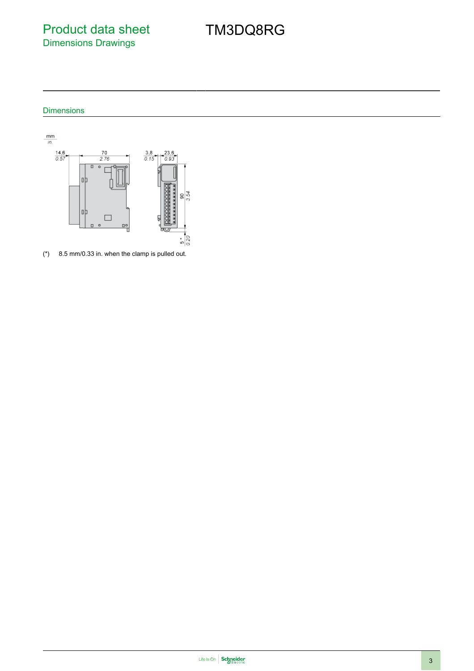Product data sheet Dimensions Drawings

## TM3DQ8RG

### Dimensions



(\*) 8.5 mm/0.33 in. when the clamp is pulled out.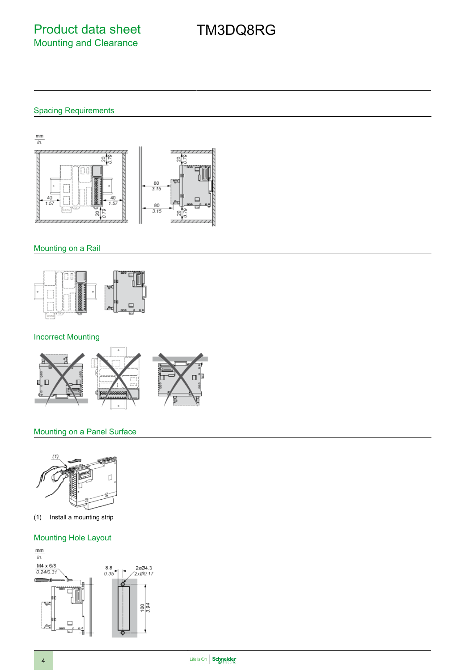# TM3DQ8RG

### Spacing Requirements



#### Mounting on a Rail



### Incorrect Mounting



#### Mounting on a Panel Surface



(1) Install a mounting strip

#### Mounting Hole Layout